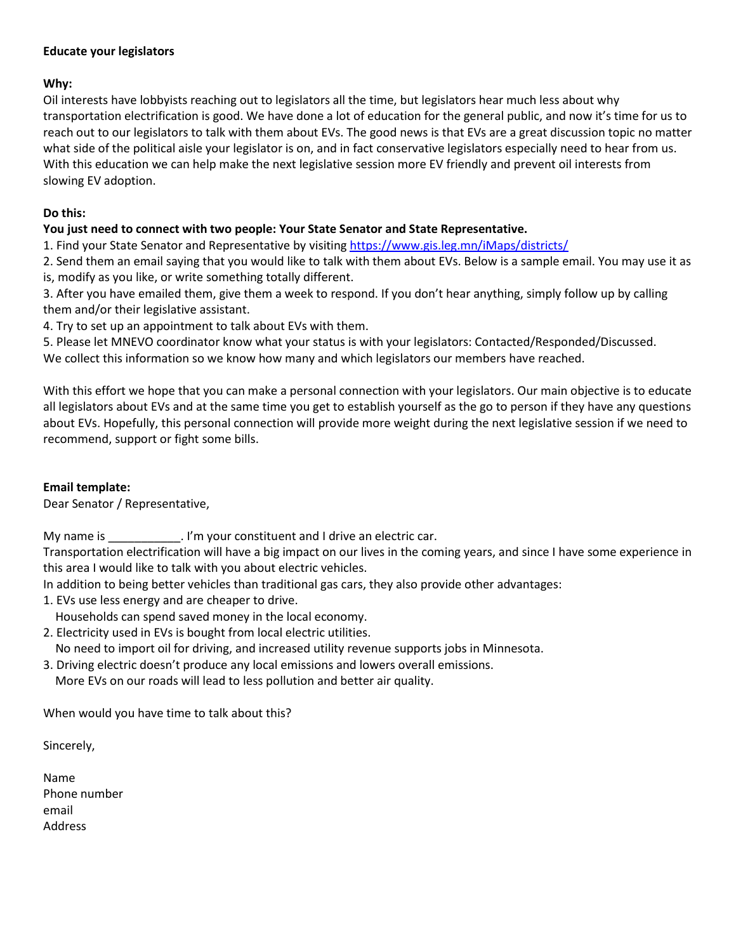### **Educate your legislators**

# **Why:**

Oil interests have lobbyists reaching out to legislators all the time, but legislators hear much less about why transportation electrification is good. We have done a lot of education for the general public, and now it's time for us to reach out to our legislators to talk with them about EVs. The good news is that EVs are a great discussion topic no matter what side of the political aisle your legislator is on, and in fact conservative legislators especially need to hear from us. With this education we can help make the next legislative session more EV friendly and prevent oil interests from slowing EV adoption.

### **Do this:**

## **You just need to connect with two people: Your State Senator and State Representative.**

1. Find your State Senator and Representative by visiting<https://www.gis.leg.mn/iMaps/districts/>

2. Send them an email saying that you would like to talk with them about EVs. Below is a sample email. You may use it as is, modify as you like, or write something totally different.

3. After you have emailed them, give them a week to respond. If you don't hear anything, simply follow up by calling them and/or their legislative assistant.

4. Try to set up an appointment to talk about EVs with them.

5. Please let MNEVO coordinator know what your status is with your legislators: Contacted/Responded/Discussed.

We collect this information so we know how many and which legislators our members have reached.

With this effort we hope that you can make a personal connection with your legislators. Our main objective is to educate all legislators about EVs and at the same time you get to establish yourself as the go to person if they have any questions about EVs. Hopefully, this personal connection will provide more weight during the next legislative session if we need to recommend, support or fight some bills.

# **Email template:**

Dear Senator / Representative,

My name is \_\_\_\_\_\_\_\_\_\_\_\_. I'm your constituent and I drive an electric car.

Transportation electrification will have a big impact on our lives in the coming years, and since I have some experience in this area I would like to talk with you about electric vehicles.

In addition to being better vehicles than traditional gas cars, they also provide other advantages:

1. EVs use less energy and are cheaper to drive.

Households can spend saved money in the local economy.

- 2. Electricity used in EVs is bought from local electric utilities. No need to import oil for driving, and increased utility revenue supports jobs in Minnesota.
- 3. Driving electric doesn't produce any local emissions and lowers overall emissions.

More EVs on our roads will lead to less pollution and better air quality.

When would you have time to talk about this?

Sincerely,

Name Phone number email Address